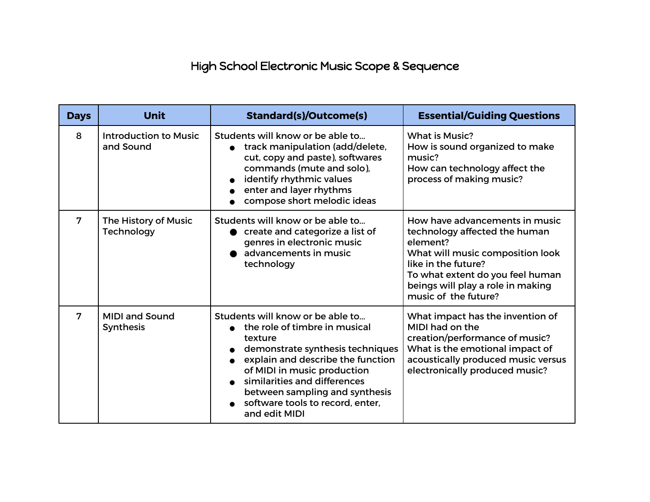## High School Electronic Music Scope & Sequence

| <b>Days</b> | Unit                                      | <b>Standard(s)/Outcome(s)</b>                                                                                                                                                                                                                                                                               | <b>Essential/Guiding Questions</b>                                                                                                                                                                                                      |
|-------------|-------------------------------------------|-------------------------------------------------------------------------------------------------------------------------------------------------------------------------------------------------------------------------------------------------------------------------------------------------------------|-----------------------------------------------------------------------------------------------------------------------------------------------------------------------------------------------------------------------------------------|
| 8           | <b>Introduction to Music</b><br>and Sound | Students will know or be able to<br>track manipulation (add/delete,<br>cut, copy and paste), softwares<br>commands (mute and solo),<br>identify rhythmic values<br>enter and layer rhythms<br>compose short melodic ideas                                                                                   | <b>What is Music?</b><br>How is sound organized to make<br>music?<br>How can technology affect the<br>process of making music?                                                                                                          |
| 7           | The History of Music<br>Technology        | Students will know or be able to<br>create and categorize a list of<br>genres in electronic music<br>advancements in music<br>technology                                                                                                                                                                    | How have advancements in music<br>technology affected the human<br>element?<br>What will music composition look<br>like in the future?<br>To what extent do you feel human<br>beings will play a role in making<br>music of the future? |
| 7           | <b>MIDI and Sound</b><br>Synthesis        | Students will know or be able to<br>the role of timbre in musical<br>texture<br>demonstrate synthesis techniques<br>explain and describe the function<br>of MIDI in music production<br>similarities and differences<br>between sampling and synthesis<br>software tools to record, enter,<br>and edit MIDI | What impact has the invention of<br>MIDI had on the<br>creation/performance of music?<br>What is the emotional impact of<br>acoustically produced music versus<br>electronically produced music?                                        |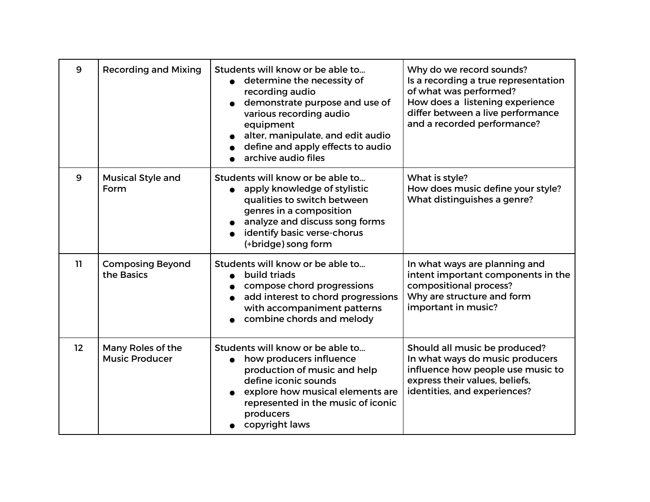| 9  | <b>Recording and Mixing</b>                | Students will know or be able to<br>determine the necessity of<br>recording audio<br>demonstrate purpose and use of<br>various recording audio<br>equipment<br>alter, manipulate, and edit audio<br>define and apply effects to audio<br>archive audio files | Why do we record sounds?<br>Is a recording a true representation<br>of what was performed?<br>How does a listening experience<br>differ between a live performance<br>and a recorded performance? |
|----|--------------------------------------------|--------------------------------------------------------------------------------------------------------------------------------------------------------------------------------------------------------------------------------------------------------------|---------------------------------------------------------------------------------------------------------------------------------------------------------------------------------------------------|
| 9  | <b>Musical Style and</b><br>Form           | Students will know or be able to<br>apply knowledge of stylistic<br>qualities to switch between<br>genres in a composition<br>analyze and discuss song forms<br>identify basic verse-chorus<br>(+bridge) song form                                           | What is style?<br>How does music define your style?<br>What distinguishes a genre?                                                                                                                |
| 11 | <b>Composing Beyond</b><br>the Basics      | Students will know or be able to<br>build triads<br>compose chord progressions<br>add interest to chord progressions<br>with accompaniment patterns<br>combine chords and melody                                                                             | In what ways are planning and<br>intent important components in the<br>compositional process?<br>Why are structure and form<br>important in music?                                                |
| 12 | Many Roles of the<br><b>Music Producer</b> | Students will know or be able to<br>how producers influence<br>$\bullet$<br>production of music and help<br>define iconic sounds<br>explore how musical elements are<br>represented in the music of iconic<br>producers<br>copyright laws                    | Should all music be produced?<br>In what ways do music producers<br>influence how people use music to<br>express their values, beliefs,<br>identities, and experiences?                           |